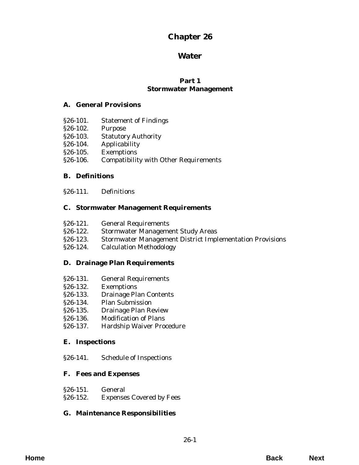# **Chapter 26**

# **Water**

# **Part 1 Stormwater Management**

# **A. General Provisions**

- [§26-101. Statement of Findings](#page-2-0)
- §26-102. Purpose
- §26-103. Statutory Authority
- [§26-104. Applicability](#page-3-0)
- §26-105. Exemptions
- [§26-106. Compatibility with Other Requirements](#page-4-0)

# **B. Definitions**

[§26-111. Definitions](#page-6-0)

# **C. Stormwater Management Requirements**

- §26-121. General Requirements
- [§26-122. Stormwater Management Study Areas](#page-10-0)
- [§26-123. Stormwater Management District Implementation Provisions](#page-12-0)
- [§26-124. Calculation Methodology](#page-14-0)

# **[D. Drainage Plan Requirements](#page-16-0)**

- §26-131. General Requirements
- §26-132. Exemptions
- §26-133. Drainage Plan Contents
- [§26-134. Plan Submission](#page-17-0)
- [§26-135. Drainage Plan Review](#page-18-0)
- §26-136. Modification of Plans
- [§26-137. Hardship Waiver Procedure](#page-19-0)

# **E. Inspections**

[§26-141. Schedule of Inspections](#page-22-0)

# **F. Fees and Expenses**

| $$26-151.$ | General                         |
|------------|---------------------------------|
| $$26-152.$ | <b>Expenses Covered by Fees</b> |

# **[G. Maintenance Responsibilities](#page-26-0)**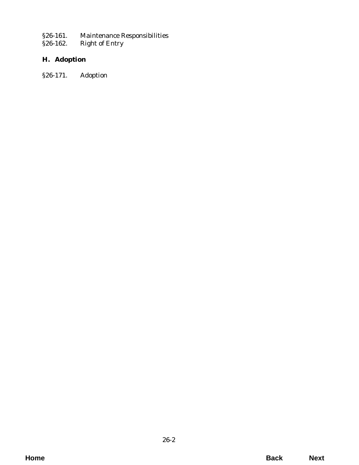[§26-161. Maintenance Responsibilities](#page-26-0)<br>§26-162. Right of Entry

[§26-162. Right of Entry](#page-27-0)

# **H. Adoption**

[§26-171. Adoption](#page-28-0)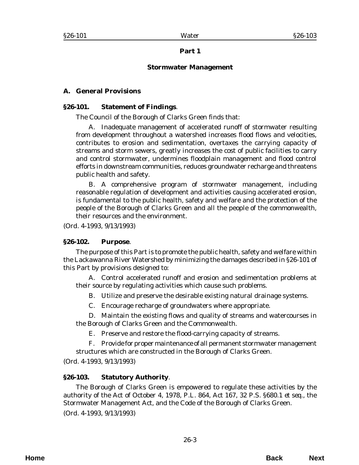## **Part 1**

# **Stormwater Management**

# <span id="page-2-0"></span>**A. General Provisions**

### **§26-101. Statement of Findings**.

The Council of the Borough of Clarks Green finds that:

A. Inadequate management of accelerated runoff of stormwater resulting from development throughout a watershed increases flood flows and velocities, contributes to erosion and sedimentation, overtaxes the carrying capacity of streams and storm sewers, greatly increases the cost of public facilities to carry and control stormwater, undermines floodplain management and flood control efforts in downstream communities, reduces groundwater recharge and threatens public health and safety.

B. A comprehensive program of stormwater management, including reasonable regulation of development and activities causing accelerated erosion, is fundamental to the public health, safety and welfare and the protection of the people of the Borough of Clarks Green and all the people of the commonwealth, their resources and the environment.

(*Ord. 4-1993*, 9/13/1993)

### **§26-102. Purpose**.

The purpose of this Part is to promote the public health, safety and welfare within the Lackawanna River Watershed by minimizing the damages described in §26-101 of this Part by provisions designed to:

A. Control accelerated runoff and erosion and sedimentation problems at their source by regulating activities which cause such problems.

B. Utilize and preserve the desirable existing natural drainage systems.

C. Encourage recharge of groundwaters where appropriate.

D. Maintain the existing flows and quality of streams and watercourses in the Borough of Clarks Green and the Commonwealth.

E. Preserve and restore the flood-carrying capacity of streams.

F. Provide for proper maintenance of all permanent stormwater management structures which are constructed in the Borough of Clarks Green.

(*Ord. 4-1993*, 9/13/1993)

### **§26-103. Statutory Authority**.

The Borough of Clarks Green is empowered to regulate these activities by the authority of the Act of October 4, 1978, P.L. 864, Act 167, 32 P.S. §680.1 *et seq.*, the Stormwater Management Act, and the Code of the Borough of Clarks Green. (*Ord. 4-1993*, 9/13/1993)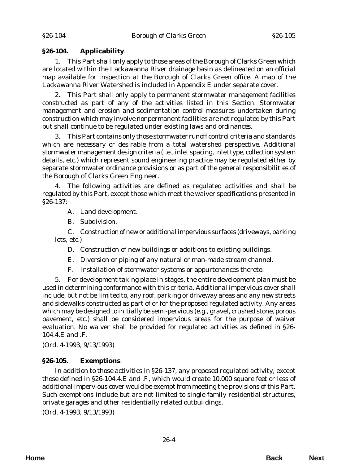#### <span id="page-3-0"></span>**§26-104. Applicability**.

1. This Part shall only apply to those areas of the Borough of Clarks Green which are located within the Lackawanna River drainage basin as delineated on an official map available for inspection at the Borough of Clarks Green office. A map of the Lackawanna River Watershed is included in Appendix E under separate cover.

2. This Part shall only apply to permanent stormwater management facilities constructed as part of any of the activities listed in this Section. Stormwater management and erosion and sedimentation control measures undertaken during construction which may involve nonpermanent facilities are not regulated by this Part but shall continue to be regulated under existing laws and ordinances.

3. This Part contains only those stormwater runoff control criteria and standards which are necessary or desirable from a total watershed perspective. Additional stormwater management design criteria (i.e., inlet spacing, inlet type, collection system details, etc.) which represent sound engineering practice may be regulated either by separate stormwater ordinance provisions or as part of the general responsibilities of the Borough of Clarks Green Engineer.

4. The following activities are defined as regulated activities and shall be regulated by this Part, except those which meet the waiver specifications presented in §26-137:

A. Land development.

B. Subdivision.

C. Construction of new or additional impervious surfaces (driveways, parking lots, etc.)

D. Construction of new buildings or additions to existing buildings.

E. Diversion or piping of any natural or man-made stream channel.

F. Installation of stormwater systems or appurtenances thereto.

5. For development taking place in stages, the entire development plan must be used in determining conformance with this criteria. Additional impervious cover shall include, but not be limited to, any roof, parking or driveway areas and any new streets and sidewalks constructed as part of or for the proposed regulated activity. Any areas which may be designed to initially be semi-pervious (e.g., gravel, crushed stone, porous pavement, etc.) shall be considered impervious areas for the purpose of waiver evaluation. No waiver shall be provided for regulated activities as defined in §26- 104.4.E and .F.

(*Ord. 4-1993*, 9/13/1993)

#### **§26-105. Exemptions**.

In addition to those activities in §26-137, any proposed regulated activity, except those defined in §26-104.4.E and .F, which would create 10,000 square feet or less of additional impervious cover would be exempt from meeting the provisions of this Part. Such exemptions include but are not limited to single-family residential structures, private garages and other residentially related outbuildings.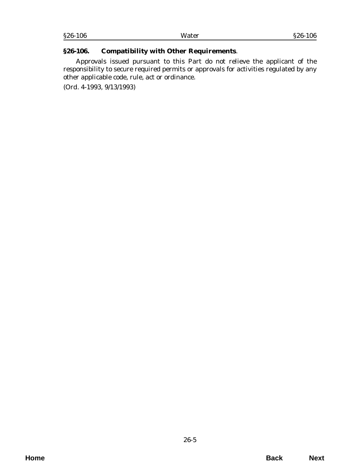### <span id="page-4-0"></span>**§26-106. Compatibility with Other Requirements**.

Approvals issued pursuant to this Part do not relieve the applicant of the responsibility to secure required permits or approvals for activities regulated by any other applicable code, rule, act or ordinance.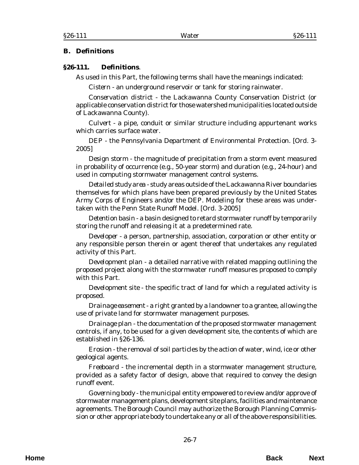#### <span id="page-6-0"></span>**B. Definitions**

#### **§26-111. Definitions**.

As used in this Part, the following terms shall have the meanings indicated:

*Cistern* - an underground reservoir or tank for storing rainwater.

*Conservation district* - the Lackawanna County Conservation District (or applicable conservation district for those watershed municipalities located outside of Lackawanna County).

*Culvert* - a pipe, conduit or similar structure including appurtenant works which carries surface water.

*DEP* - the Pennsylvania Department of Environmental Protection. [*Ord. 3- 2005*]

*Design storm* - the magnitude of precipitation from a storm event measured in probability of occurrence (e.g., 50-year storm) and duration (e.g., 24-hour) and used in computing stormwater management control systems.

*Detailed study area* - study areas outside of the Lackawanna River boundaries themselves for which plans have been prepared previously by the United States Army Corps of Engineers and/or the DEP. Modeling for these areas was undertaken with the Penn State Runoff Model. [*Ord. 3-2005*]

*Detention basin* - a basin designed to retard stormwater runoff by temporarily storing the runoff and releasing it at a predetermined rate.

*Developer* - a person, partnership, association, corporation or other entity or any responsible person therein or agent thereof that undertakes any regulated activity of this Part.

*Development plan* - a detailed narrative with related mapping outlining the proposed project along with the stormwater runoff measures proposed to comply with this Part.

*Development site* - the specific tract of land for which a regulated activity is proposed.

*Drainage easement* - a right granted by a landowner to a grantee, allowing the use of private land for stormwater management purposes.

*Drainage plan* - the documentation of the proposed stormwater management controls, if any, to be used for a given development site, the contents of which are established in §26-136.

*Erosion* - the removal of soil particles by the action of water, wind, ice or other geological agents.

*Freeboard* - the incremental depth in a stormwater management structure, provided as a safety factor of design, above that required to convey the design runoff event.

*Governing body* - the municipal entity empowered to review and/or approve of stormwater management plans, development site plans, facilities and maintenance agreements. The Borough Council may authorize the Borough Planning Commission or other appropriate body to undertake any or all of the above responsibilities.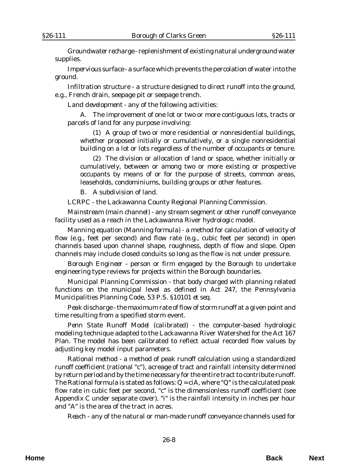*Groundwater recharge* - replenishment of existing natural underground water supplies.

*Impervious surface* - a surface which prevents the percolation of water into the ground.

*Infiltration structure* - a structure designed to direct runoff into the ground, e.g., French drain, seepage pit or seepage trench.

*Land development* - any of the following activities:

A. The improvement of one lot or two or more contiguous lots, tracts or parcels of land for any purpose involving:

(1) A group of two or more residential or nonresidential buildings, whether proposed initially or cumulatively, or a single nonresidential building on a lot or lots regardless of the number of occupants or tenure.

(2) The division or allocation of land or space, whether initially or cumulatively, between or among two or more existing or prospective occupants by means of or for the purpose of streets, common areas, leaseholds, condominiums, building groups or other features.

B. A subdivision of land.

*LCRPC* - the Lackawanna County Regional Planning Commission.

*Mainstream (main channel)* - any stream segment or other runoff conveyance facility used as a reach in the Lackawanna River hydrologic model.

*Manning equation (Manning formula)* - a method for calculation of velocity of flow (e.g., feet per second) and flow rate (e.g., cubic feet per second) in open channels based upon channel shape, roughness, depth of flow and slope. Open channels may include closed conduits so long as the flow is not under pressure.

*Borough Engineer* - person or firm engaged by the Borough to undertake engineering type reviews for projects within the Borough boundaries.

*Municipal Planning Commission* - that body charged with planning related functions on the municipal level as defined in Act 247, the Pennsylvania Municipalities Planning Code, 53 P.S. §10101 *et seq*.

*Peak discharge* - the maximum rate of flow of storm runoff at a given point and time resulting from a specified storm event.

*Penn State Runoff Model (calibrated)* - the computer-based hydrologic modeling technique adapted to the Lackawanna River Watershed for the Act 167 Plan. The model has been calibrated to reflect actual recorded flow values by adjusting key model input parameters.

*Rational method* - a method of peak runoff calculation using a standardized runoff coefficient (rational "c"), acreage of tract and rainfall intensity determined by return period and by the time necessary for the entire tract to contribute runoff. The Rational formula is stated as follows: Q = ciA, where "Q" is the calculated peak flow rate in cubic feet per second, "c" is the dimensionless runoff coefficient (see Appendix C under separate cover), "i" is the rainfall intensity in inches per hour and "A" is the area of the tract in acres.

*Reach* - any of the natural or man-made runoff conveyance channels used for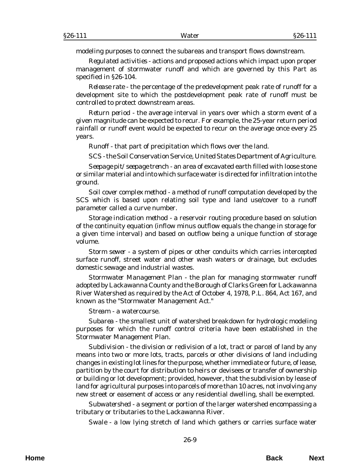modeling purposes to connect the subareas and transport flows downstream.

*Regulated activities* - actions and proposed actions which impact upon proper management of stormwater runoff and which are governed by this Part as specified in §26-104.

*Release rate* - the percentage of the predevelopment peak rate of runoff for a development site to which the postdevelopment peak rate of runoff must be controlled to protect downstream areas.

*Return period* - the average interval in years over which a storm event of a given magnitude can be expected to recur. For example, the 25-year return period rainfall or runoff event would be expected to recur on the average once every 25 years.

*Runoff* - that part of precipitation which flows over the land.

*SCS* - the Soil Conservation Service, United States Department of Agriculture.

*Seepage pit/seepage trench* - an area of excavated earth filled with loose stone or similar material and into which surface water is directed for infiltration into the ground.

*Soil cover complex method* - a method of runoff computation developed by the SCS which is based upon relating soil type and land use/cover to a runoff parameter called a curve number.

*Storage indication method* - a reservoir routing procedure based on solution of the continuity equation (inflow minus outflow equals the change in storage for a given time interval) and based on outflow being a unique function of storage volume.

*Storm sewer* - a system of pipes or other conduits which carries intercepted surface runoff, street water and other wash waters or drainage, but excludes domestic sewage and industrial wastes.

*Stormwater Management Plan* - the plan for managing stormwater runoff adopted by Lackawanna County and the Borough of Clarks Green for Lackawanna River Watershed as required by the Act of October 4, 1978, P.L. 864, Act 167, and known as the "Stormwater Management Act."

*Stream* - a watercourse.

*Subarea* - the smallest unit of watershed breakdown for hydrologic modeling purposes for which the runoff control criteria have been established in the Stormwater Management Plan.

*Subdivision* - the division or redivision of a lot, tract or parcel of land by any means into two or more lots, tracts, parcels or other divisions of land including changes in existing lot lines for the purpose, whether immediate or future, of lease, partition by the court for distribution to heirs or devisees or transfer of ownership or building or lot development; provided, however, that the subdivision by lease of land for agricultural purposes into parcels of more than 10 acres, not involving any new street or easement of access or any residential dwelling, shall be exempted.

*Subwatershed* - a segment or portion of the larger watershed encompassing a tributary or tributaries to the Lackawanna River.

*Swale* - a low lying stretch of land which gathers or carries surface water

**Home Back Next**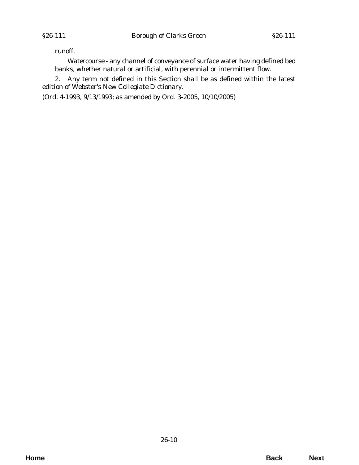runoff.

*Watercourse* - any channel of conveyance of surface water having defined bed banks, whether natural or artificial, with perennial or intermittent flow.

2. Any term not defined in this Section shall be as defined within the latest edition of Webster's New Collegiate Dictionary.

(*Ord. 4-1993*, 9/13/1993; as amended by *Ord. 3-2005*, 10/10/2005)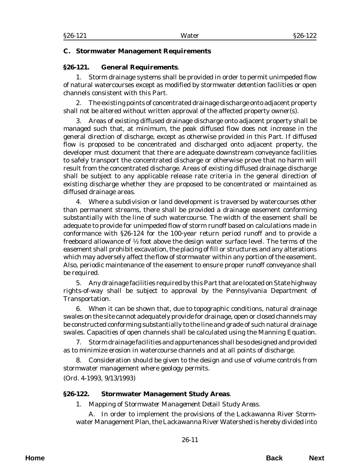#### <span id="page-10-0"></span>**C. Stormwater Management Requirements**

#### **§26-121. General Requirements**.

1. Storm drainage systems shall be provided in order to permit unimpeded flow of natural watercourses except as modified by stormwater detention facilities or open channels consistent with this Part.

2. The existing points of concentrated drainage discharge onto adjacent property shall not be altered without written approval of the affected property owner(s).

3. Areas of existing diffused drainage discharge onto adjacent property shall be managed such that, at minimum, the peak diffused flow does not increase in the general direction of discharge, except as otherwise provided in this Part. If diffused flow is proposed to be concentrated and discharged onto adjacent property, the developer must document that there are adequate downstream conveyance facilities to safely transport the concentrated discharge or otherwise prove that no harm will result from the concentrated discharge. Areas of existing diffused drainage discharge shall be subject to any applicable release rate criteria in the general direction of existing discharge whether they are proposed to be concentrated or maintained as diffused drainage areas.

4. Where a subdivision or land development is traversed by watercourses other than permanent streams, there shall be provided a drainage easement conforming substantially with the line of such watercourse. The width of the easement shall be adequate to provide for unimpeded flow of storm runoff based on calculations made in conformance with §26-124 for the 100-year return period runoff and to provide a freeboard allowance of  $\frac{1}{2}$  foot above the design water surface level. The terms of the easement shall prohibit excavation, the placing of fill or structures and any alterations which may adversely affect the flow of stormwater within any portion of the easement. Also, periodic maintenance of the easement to ensure proper runoff conveyance shall be required.

5. Any drainage facilities required by this Part that are located on State highway rights-of-way shall be subject to approval by the Pennsylvania Department of Transportation.

6. When it can be shown that, due to topographic conditions, natural drainage swales on the site cannot adequately provide for drainage, open or closed channels may be constructed conforming substantially to the line and grade of such natural drainage swales. Capacities of open channels shall be calculated using the Manning Equation.

7. Storm drainage facilities and appurtenances shall be so designed and provided as to minimize erosion in watercourse channels and at all points of discharge.

8. Consideration should be given to the design and use of volume controls from stormwater management where geology permits.

(*Ord. 4-1993*, 9/13/1993)

### **§26-122. Stormwater Management Study Areas**.

1. *Mapping of Stormwater Management Detail Study Areas*.

A. In order to implement the provisions of the Lackawanna River Stormwater Management Plan, the Lackawanna River Watershed is hereby divided into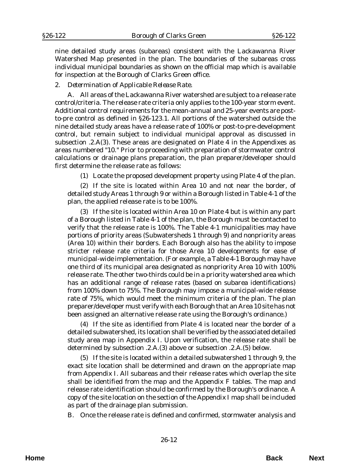nine detailed study areas (subareas) consistent with the Lackawanna River Watershed Map presented in the plan. The boundaries of the subareas cross individual municipal boundaries as shown on the official map which is available for inspection at the Borough of Clarks Green office.

#### 2. *Determination of Applicable Release Rate*.

A. All areas of the Lackawanna River watershed are subject to a release rate control/criteria. The release rate criteria only applies to the 100-year storm event. Additional control requirements for the mean-annual and 25-year events are postto-pre control as defined in §26-123.1. All portions of the watershed outside the nine detailed study areas have a release rate of 100% or post-to-pre-development control, but remain subject to individual municipal approval as discussed in subsection .2.A(3). These areas are designated on Plate 4 in the Appendixes as areas numbered "10." Prior to proceeding with preparation of stormwater control calculations or drainage plans preparation, the plan preparer/developer should first determine the release rate as follows:

(1) Locate the proposed development property using Plate 4 of the plan.

(2) If the site is located within Area 10 and not near the border, of detailed study Areas 1 through 9 or within a Borough listed in Table 4-1 of the plan, the applied release rate is to be 100%.

(3) If the site is located within Area 10 on Plate 4 but is within any part of a Borough listed in Table 4-1 of the plan, the Borough must be contacted to verify that the release rate is 100%. The Table 4-1 municipalities may have portions of priority areas (Subwatersheds 1 through 9) and nonpriority areas (Area 10) within their borders. Each Borough also has the ability to impose stricter release rate criteria for those Area 10 developments for ease of municipal-wide implementation. (For example, a Table 4-1 Borough may have one third of its municipal area designated as nonpriority Area 10 with 100% release rate. The other two-thirds could be in a priority watershed area which has an additional range of release rates (based on subarea identifications) from 100% down to 75%. The Borough may impose a municipal-wide release rate of 75%, which would meet the minimum criteria of the plan. The plan preparer/developer must verify with each Borough that an Area 10 site has not been assigned an alternative release rate using the Borough's ordinance.)

(4) If the site as identified from Plate 4 is located near the border of a detailed subwatershed, its location shall be verified by the associated detailed study area map in Appendix I. Upon verification, the release rate shall be determined by subsection .2.A.(3) above or subsection .2.A.(5) below.

(5) If the site is located within a detailed subwatershed 1 through 9, the exact site location shall be determined and drawn on the appropriate map from Appendix I. All subareas and their release rates which overlap the site shall be identified from the map and the Appendix F tables. The map and release rate identification should be confirmed by the Borough's ordinance. A copy of the site location on the section of the Appendix I map shall be included as part of the drainage plan submission.

B. Once the release rate is defined and confirmed, stormwater analysis and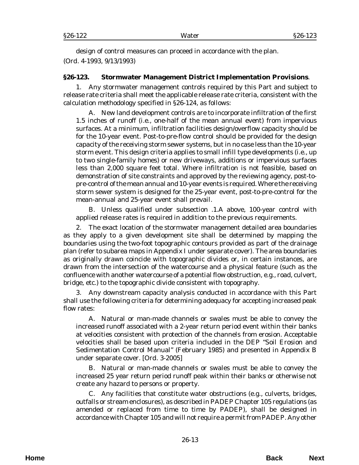<span id="page-12-0"></span>design of control measures can proceed in accordance with the plan. (*Ord. 4-1993*, 9/13/1993)

#### **§26-123. Stormwater Management District Implementation Provisions**.

1. Any stormwater management controls required by this Part and subject to release rate criteria shall meet the applicable release rate criteria, consistent with the calculation methodology specified in §26-124, as follows:

A. New land development controls are to incorporate infiltration of the first 1.5 inches of runoff (i.e., one-half of the mean annual event) from impervious surfaces. At a minimum, infiltration facilities design/overflow capacity should be for the 10-year event. Post-to-pre-flow control should be provided for the design capacity of the receiving storm sewer systems, but in no case less than the 10-year storm event. This design criteria applies to small infill type developments (i.e., up to two single-family homes) or new driveways, additions or impervious surfaces less than 2,000 square feet total. Where infiltration is not feasible, based on demonstration of site constraints and approved by the reviewing agency, post-topre-control of the mean annual and 10-year events is required. Where the receiving storm sewer system is designed for the 25-year event, post-to-pre-control for the mean-annual and 25-year event shall prevail.

B. Unless qualified under subsection .1.A above, 100-year control with applied release rates is required in addition to the previous requirements.

2. The exact location of the stormwater management detailed area boundaries as they apply to a given development site shall be determined by mapping the boundaries using the two-foot topographic contours provided as part of the drainage plan (refer to subarea maps in Appendix I under separate cover). The area boundaries as originally drawn coincide with topographic divides or, in certain instances, are drawn from the intersection of the watercourse and a physical feature (such as the confluence with another watercourse of a potential flow obstruction, e.g., road, culvert, bridge, etc.) to the topographic divide consistent with topography.

3. Any downstream capacity analysis conducted in accordance with this Part shall use the following criteria for determining adequacy for accepting increased peak flow rates:

A. Natural or man-made channels or swales must be able to convey the increased runoff associated with a 2-year return period event within their banks at velocities consistent with protection of the channels from erosion. Acceptable velocities shall be based upon criteria included in the DEP "Soil Erosion and Sedimentation Control Manual" (February 1985) and presented in Appendix B under separate cover. [*Ord. 3-2005*]

B. Natural or man-made channels or swales must be able to convey the increased 25 year return period runoff peak within their banks or otherwise not create any hazard to persons or property.

C. Any facilities that constitute water obstructions (e.g., culverts, bridges, outfalls or stream enclosures), as described in PADEP Chapter 105 regulations (as amended or replaced from time to time by PADEP), shall be designed in accordance with Chapter 105 and will not require a permit from PADEP. Any other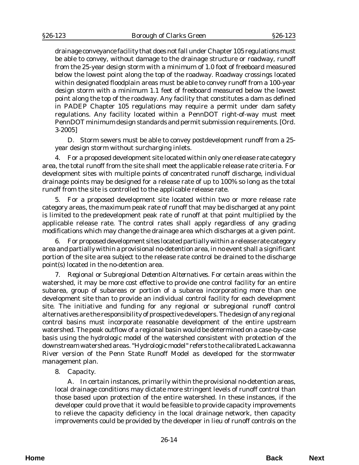drainage conveyance facility that does not fall under Chapter 105 regulations must be able to convey, without damage to the drainage structure or roadway, runoff from the 25-year design storm with a minimum of 1.0 foot of freeboard measured below the lowest point along the top of the roadway. Roadway crossings located within designated floodplain areas must be able to convey runoff from a 100-year design storm with a minimum 1.1 feet of freeboard measured below the lowest point along the top of the roadway. Any facility that constitutes a dam as defined in PADEP Chapter 105 regulations may require a permit under dam safety regulations. Any facility located within a PennDOT right-of-way must meet PennDOT minimum design standards and permit submission requirements. [*Ord. 3-2005*]

D. Storm sewers must be able to convey postdevelopment runoff from a 25 year design storm without surcharging inlets.

4. For a proposed development site located within only one release rate category area, the total runoff from the site shall meet the applicable release rate criteria. For development sites with multiple points of concentrated runoff discharge, individual drainage points may be designed for a release rate of up to 100% so long as the total runoff from the site is controlled to the applicable release rate.

5. For a proposed development site located within two or more release rate category areas, the maximum peak rate of runoff that may be discharged at any point is limited to the predevelopment peak rate of runoff at that point multiplied by the applicable release rate. The control rates shall apply regardless of any grading modifications which may change the drainage area which discharges at a given point.

6. For proposed development sites located partially within a release rate category area and partially within a provisional no-detention area, in no event shall a significant portion of the site area subject to the release rate control be drained to the discharge point(s) located in the no-detention area.

7. *Regional or Subregional Detention Alternatives*. For certain areas within the watershed, it may be more cost effective to provide one control facility for an entire subarea, group of subareas or portion of a subarea incorporating more than one development site than to provide an individual control facility for each development site. The initiative and funding for any regional or subregional runoff control alternatives are the responsibility of prospective developers. The design of any regional control basins must incorporate reasonable development of the entire upstream watershed. The peak outflow of a regional basin would be determined on a case-by-case basis using the hydrologic model of the watershed consistent with protection of the downstream watershed areas. "Hydrologic model" refers to the calibrated Lackawanna River version of the Penn State Runoff Model as developed for the stormwater management plan.

#### 8. *Capacity*.

A. In certain instances, primarily within the provisional no-detention areas, local drainage conditions may dictate more stringent levels of runoff control than those based upon protection of the entire watershed. In these instances, if the developer could prove that it would be feasible to provide capacity improvements to relieve the capacity deficiency in the local drainage network, then capacity improvements could be provided by the developer in lieu of runoff controls on the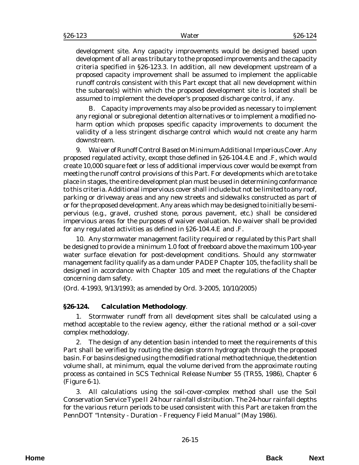<span id="page-14-0"></span>development site. Any capacity improvements would be designed based upon development of all areas tributary to the proposed improvements and the capacity criteria specified in §26-123.3. In addition, all new development upstream of a proposed capacity improvement shall be assumed to implement the applicable runoff controls consistent with this Part except that all new development within the subarea(s) within which the proposed development site is located shall be assumed to implement the developer's proposed discharge control, if any.

B. Capacity improvements may also be provided as necessary to implement any regional or subregional detention alternatives or to implement a modified noharm option which proposes specific capacity improvements to document the validity of a less stringent discharge control which would not create any harm downstream.

9. *Waiver of Runoff Control Based on Minimum Additional Imperious Cover*. Any proposed regulated activity, except those defined in §26-104.4.E and .F, which would create 10,000 square feet or less of additional impervious cover would be exempt from meeting the runoff control provisions of this Part. For developments which are to take place in stages, the entire development plan must be used in determining conformance to this criteria. Additional impervious cover shall include but not be limited to any roof, parking or driveway areas and any new streets and sidewalks constructed as part of or for the proposed development. Any areas which may be designed to initially be semipervious (e.g., gravel, crushed stone, porous pavement, etc.) shall be considered impervious areas for the purposes of waiver evaluation. No waiver shall be provided for any regulated activities as defined in §26-104.4.E and .F.

10. Any stormwater management facility required or regulated by this Part shall be designed to provide a minimum 1.0 foot of freeboard above the maximum 100-year water surface elevation for post-development conditions. Should any stormwater management facility qualify as a dam under PADEP Chapter 105, the facility shall be designed in accordance with Chapter 105 and meet the regulations of the Chapter concerning dam safety.

(*Ord. 4-1993*, 9/13/1993; as amended by *Ord. 3-2005*, 10/10/2005)

# **§26-124. Calculation Methodology**.

1. Stormwater runoff from all development sites shall be calculated using a method acceptable to the review agency, either the rational method or a soil-cover complex methodology.

2. The design of any detention basin intended to meet the requirements of this Part shall be verified by routing the design storm hydrograph through the proposed basin. For basins designed using the modified rational method technique, the detention volume shall, at minimum, equal the volume derived from the approximate routing process as contained in SCS Technical Release Number 55 (TR55, 1986), Chapter 6 (Figure 6-1).

3. All calculations using the soil-cover-complex method shall use the Soil Conservation Service Type II 24 hour rainfall distribution. The 24-hour rainfall depths for the various return periods to be used consistent with this Part are taken from the PennDOT "Intensity - Duration - Frequency Field Manual" (May 1986).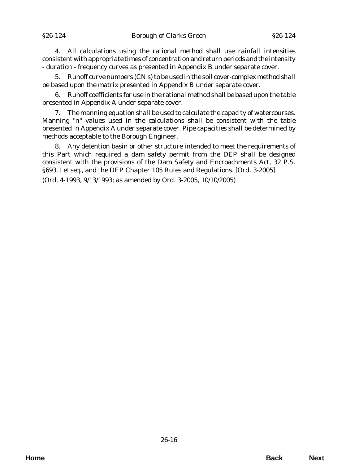4. All calculations using the rational method shall use rainfall intensities consistent with appropriate times of concentration and return periods and the intensity - duration - frequency curves as presented in Appendix B under separate cover.

5. Runoff curve numbers (CN's) to be used in the soil cover-complex method shall be based upon the matrix presented in Appendix B under separate cover.

6. Runoff coefficients for use in the rational method shall be based upon the table presented in Appendix A under separate cover.

7. The manning equation shall be used to calculate the capacity of watercourses. Manning "n" values used in the calculations shall be consistent with the table presented in Appendix A under separate cover. Pipe capacities shall be determined by methods acceptable to the Borough Engineer.

8. Any detention basin or other structure intended to meet the requirements of this Part which required a dam safety permit from the DEP shall be designed consistent with the provisions of the Dam Safety and Encroachments Act, 32 P.S. §693.1 *et seq*., and the DEP Chapter 105 Rules and Regulations. [*Ord. 3-2005*]

(*Ord. 4-1993*, 9/13/1993; as amended by *Ord. 3-2005*, 10/10/2005)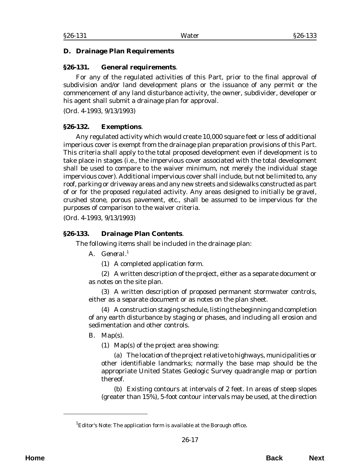#### <span id="page-16-0"></span>**D. Drainage Plan Requirements**

#### **§26-131. General requirements**.

For any of the regulated activities of this Part, prior to the final approval of subdivision and/or land development plans or the issuance of any permit or the commencement of any land disturbance activity, the owner, subdivider, developer or his agent shall submit a drainage plan for approval.

(*Ord. 4-1993*, 9/13/1993)

#### **§26-132. Exemptions**.

Any regulated activity which would create 10,000 square feet or less of additional imperious cover is exempt from the drainage plan preparation provisions of this Part. This criteria shall apply to the total proposed development even if development is to take place in stages (i.e., the impervious cover associated with the total development shall be used to compare to the waiver minimum, not merely the individual stage impervious cover). Additional impervious cover shall include, but not be limited to, any roof, parking or driveway areas and any new streets and sidewalks constructed as part of or for the proposed regulated activity. Any areas designed to initially be gravel, crushed stone, porous pavement, etc., shall be assumed to be impervious for the purposes of comparison to the waiver criteria.

(*Ord. 4-1993*, 9/13/1993)

### **§26-133. Drainage Plan Contents**.

The following items shall be included in the drainage plan:

- A. *General*. 1
	- (1) A completed application form.

(2) A written description of the project, either as a separate document or as notes on the site plan.

(3) A written description of proposed permanent stormwater controls, either as a separate document or as notes on the plan sheet.

(4) A construction staging schedule, listing the beginning and completion of any earth disturbance by staging or phases, and including all erosion and sedimentation and other controls.

### B. *Map(s)*.

(1) Map(s) of the project area showing:

(a) The location of the project relative to highways, municipalities or other identifiable landmarks; normally the base map should be the appropriate United States Geologic Survey quadrangle map or portion thereof.

(b) Existing contours at intervals of 2 feet. In areas of steep slopes (greater than 15%), 5-foot contour intervals may be used, at the direction

 ${}^{1}$ Editor's Note: The application form is available at the Borough office.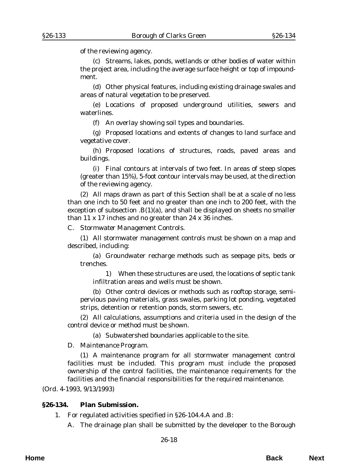<span id="page-17-0"></span>of the reviewing agency.

(c) Streams, lakes, ponds, wetlands or other bodies of water within the project area, including the average surface height or top of impoundment.

(d) Other physical features, including existing drainage swales and areas of natural vegetation to be preserved.

(e) Locations of proposed underground utilities, sewers and waterlines.

(f) An overlay showing soil types and boundaries.

(g) Proposed locations and extents of changes to land surface and vegetative cover.

(h) Proposed locations of structures, roads, paved areas and buildings.

(i) Final contours at intervals of two feet. In areas of steep slopes (greater than 15%), 5-foot contour intervals may be used, at the direction of the reviewing agency.

(2) All maps drawn as part of this Section shall be at a scale of no less than one inch to 50 feet and no greater than one inch to 200 feet, with the exception of subsection  $B(1)(a)$ , and shall be displayed on sheets no smaller than 11 x 17 inches and no greater than 24 x 36 inches.

C. *Stormwater Management Controls*.

(1) All stormwater management controls must be shown on a map and described, including:

(a) Groundwater recharge methods such as seepage pits, beds or trenches.

1) When these structures are used, the locations of septic tank infiltration areas and wells must be shown.

(b) Other control devices or methods such as rooftop storage, semipervious paving materials, grass swales, parking lot ponding, vegetated strips, detention or retention ponds, storm sewers, etc.

(2) All calculations, assumptions and criteria used in the design of the control device or method must be shown.

(a) Subwatershed boundaries applicable to the site.

D. *Maintenance Program*.

(1) A maintenance program for all stormwater management control facilities must be included. This program must include the proposed ownership of the control facilities, the maintenance requirements for the facilities and the financial responsibilities for the required maintenance.

(*Ord. 4-1993*, 9/13/1993)

#### **§26-134. Plan Submission.**

1. For regulated activities specified in §26-104.4.A and .B:

A. The drainage plan shall be submitted by the developer to the Borough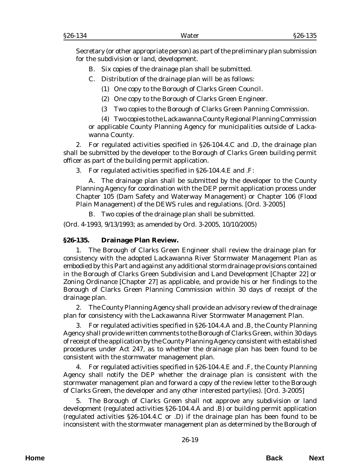<span id="page-18-0"></span>Secretary (or other appropriate person) as part of the preliminary plan submission for the subdivision or land, development.

- B. Six copies of the drainage plan shall be submitted.
- C. Distribution of the drainage plan will be as follows:
	- (1) One copy to the Borough of Clarks Green Council.
	- (2) One copy to the Borough of Clarks Green Engineer.
	- (3 Two copies to the Borough of Clarks Green Panning Commission.

(4) Two copies to the Lackawanna County Regional Planning Commission or applicable County Planning Agency for municipalities outside of Lackawanna County.

2. For regulated activities specified in §26-104.4.C and .D, the drainage plan shall be submitted by the developer to the Borough of Clarks Green building permit officer as part of the building permit application.

3. For regulated activities specified in §26-104.4.E and .F:

A. The drainage plan shall be submitted by the developer to the County Planning Agency for coordination with the DEP permit application process under Chapter 105 (Dam Safety and Waterway Management) or Chapter 106 (Flood Plain Management) of the DEWS rules and regulations. [*Ord. 3-2005*]

B. Two copies of the drainage plan shall be submitted.

(*Ord. 4-1993*, 9/13/1993; as amended by *Ord. 3-2005*, 10/10/2005)

### **§26-135. Drainage Plan Review.**

1. The Borough of Clarks Green Engineer shall review the drainage plan for consistency with the adopted Lackawanna River Stormwater Management Plan as embodied by this Part and against any additional storm drainage provisions contained in the Borough of Clarks Green Subdivision and Land Development [Chapter 22] or Zoning Ordinance [Chapter 27] as applicable, and provide his or her findings to the Borough of Clarks Green Planning Commission within 30 days of receipt of the drainage plan.

2. The County Planning Agency shall provide an advisory review of the drainage plan for consistency with the Lackawanna River Stormwater Management Plan.

3. For regulated activities specified in §26-104.4.A and .B, the County Planning Agency shall provide written comments to the Borough of Clarks Green, within 30 days of receipt of the application by the County Planning Agency consistent with established procedures under Act 247, as to whether the drainage plan has been found to be consistent with the stormwater management plan.

4. For regulated activities specified in §26-104.4.E and .F, the County Planning Agency shall notify the DEP whether the drainage plan is consistent with the stormwater management plan and forward a copy of the review letter to the Borough of Clarks Green, the developer and any other interested party(ies). [*Ord. 3-2005*]

5. The Borough of Clarks Green shall not approve any subdivision or land development (regulated activities §26-104.4.A and .B) or building permit application (regulated activities §26-104.4.C or .D) if the drainage plan has been found to be inconsistent with the stormwater management plan as determined by the Borough of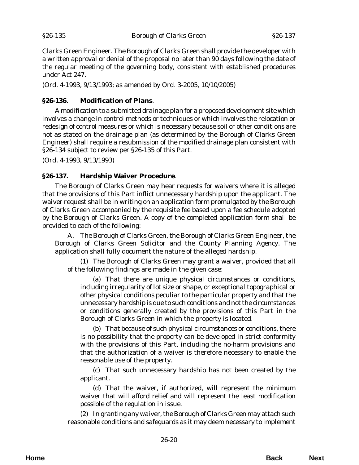<span id="page-19-0"></span>Clarks Green Engineer. The Borough of Clarks Green shall provide the developer with a written approval or denial of the proposal no later than 90 days following the date of the regular meeting of the governing body, consistent with established procedures under Act 247.

(*Ord. 4-1993*, 9/13/1993; as amended by *Ord. 3-2005*, 10/10/2005)

#### **§26-136. Modification of Plans**.

A modification to a submitted drainage plan for a proposed development site which involves a change in control methods or techniques or which involves the relocation or redesign of control measures or which is necessary because soil or other conditions are not as stated on the drainage plan (as determined by the Borough of Clarks Green Engineer) shall require a resubmission of the modified drainage plan consistent with §26-134 subject to review per §26-135 of this Part.

(*Ord. 4-1993*, 9/13/1993)

### **§26-137. Hardship Waiver Procedure**.

The Borough of Clarks Green may hear requests for waivers where it is alleged that the provisions of this Part inflict unnecessary hardship upon the applicant. The waiver request shall be in writing on an application form promulgated by the Borough of Clarks Green accompanied by the requisite fee based upon a fee schedule adopted by the Borough of Clarks Green. A copy of the completed application form shall be provided to each of the following:

A. The Borough of Clarks Green, the Borough of Clarks Green Engineer, the Borough of Clarks Green Solicitor and the County Planning Agency. The application shall fully document the nature of the alleged hardship.

(1) The Borough of Clarks Green may grant a waiver, provided that all of the following findings are made in the given case:

(a) That there are unique physical circumstances or conditions, including irregularity of lot size or shape, or exceptional topographical or other physical conditions peculiar to the particular property and that the unnecessary hardship is due to such conditions and not the circumstances or conditions generally created by the provisions of this Part in the Borough of Clarks Green in which the property is located.

(b) That because of such physical circumstances or conditions, there is no possibility that the property can be developed in strict conformity with the provisions of this Part, including the no-harm provisions and that the authorization of a waiver is therefore necessary to enable the reasonable use of the property.

(c) That such unnecessary hardship has not been created by the applicant.

(d) That the waiver, if authorized, will represent the minimum waiver that will afford relief and will represent the least modification possible of the regulation in issue.

(2) In granting any waiver, the Borough of Clarks Green may attach such reasonable conditions and safeguards as it may deem necessary to implement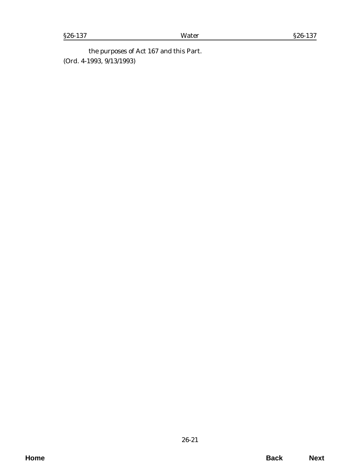the purposes of Act 167 and this Part. (*Ord. 4-1993*, 9/13/1993)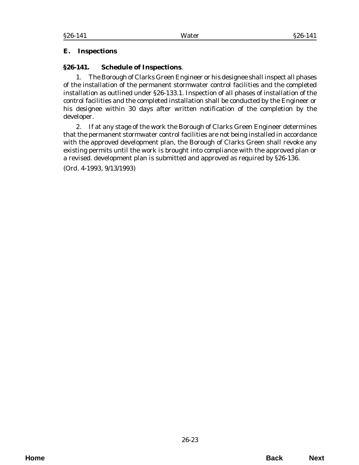# <span id="page-22-0"></span>**E. Inspections**

# **§26-141. Schedule of Inspections**.

1. The Borough of Clarks Green Engineer or his designee shall inspect all phases of the installation of the permanent stormwater control facilities and the completed installation as outlined under §26-133.1. Inspection of all phases of installation of the control facilities and the completed installation shall be conducted by the Engineer or his designee within 30 days after written notification of the completion by the developer.

2. If at any stage of the work the Borough of Clarks Green Engineer determines that the permanent stormwater control facilities are not being installed in accordance with the approved development plan, the Borough of Clarks Green shall revoke any existing permits until the work is brought into compliance with the approved plan or a revised. development plan is submitted and approved as required by §26-136. (*Ord. 4-1993*, 9/13/1993)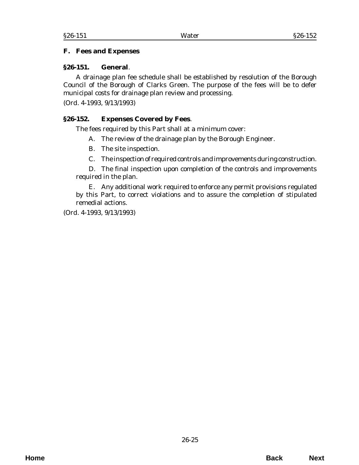#### <span id="page-24-0"></span>**F. Fees and Expenses**

#### **§26-151. General**.

A drainage plan fee schedule shall be established by resolution of the Borough Council of the Borough of Clarks Green. The purpose of the fees will be to defer municipal costs for drainage plan review and processing.

(*Ord. 4-1993*, 9/13/1993)

### **§26-152. Expenses Covered by Fees**.

The fees required by this Part shall at a minimum cover:

- A. The review of the drainage plan by the Borough Engineer.
- B. The site inspection.
- C. The inspection of required controls and improvements during construction.

D. The final inspection upon completion of the controls and improvements required in the plan.

E. Any additional work required to enforce any permit provisions regulated by this Part, to correct violations and to assure the completion of stipulated remedial actions.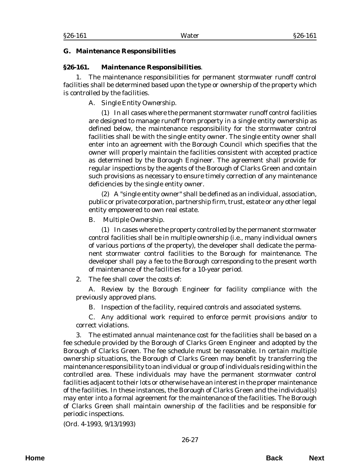#### <span id="page-26-0"></span>§26-161 Water §26-161

#### **G. Maintenance Responsibilities**

#### **§26-161. Maintenance Responsibilities**.

1. The maintenance responsibilities for permanent stormwater runoff control facilities shall be determined based upon the type or ownership of the property which is controlled by the facilities.

# A. *Single Entity Ownership*.

(1) In all cases where the permanent stormwater runoff control facilities are designed to manage runoff from property in a single entity ownership as defined below, the maintenance responsibility for the stormwater control facilities shall be with the single entity owner. The single entity owner shall enter into an agreement with the Borough Council which specifies that the owner will properly maintain the facilities consistent with accepted practice as determined by the Borough Engineer. The agreement shall provide for regular inspections by the agents of the Borough of Clarks Green and contain such provisions as necessary to ensure timely correction of any maintenance deficiencies by the single entity owner.

(2) A "single entity owner" shall be defined as an individual, association, public or private corporation, partnership firm, trust, estate or any other legal entity empowered to own real estate.

B. *Multiple Ownership*.

(1) In cases where the property controlled by the permanent stormwater control facilities shall be in multiple ownership (i.e., many individual owners of various portions of the property), the developer shall dedicate the permanent stormwater control facilities to the Borough for maintenance. The developer shall pay a fee to the Borough corresponding to the present worth of maintenance of the facilities for a 10-year period.

2. The fee shall cover the costs of:

A. Review by the Borough Engineer for facility compliance with the previously approved plans.

B. Inspection of the facility, required controls and associated systems.

C. Any additional work required to enforce permit provisions and/or to correct violations.

3. The estimated annual maintenance cost for the facilities shall be based on a fee schedule provided by the Borough of Clarks Green Engineer and adopted by the Borough of Clarks Green. The fee schedule must be reasonable. In certain multiple ownership situations, the Borough of Clarks Green may benefit by transferring the maintenance responsibility to an individual or group of individuals residing within the controlled area. These individuals may have the permanent stormwater control facilities adjacent to their lots or otherwise have an interest in the proper maintenance of the facilities. In these instances, the Borough of Clarks Green and the individual(s) may enter into a formal agreement for the maintenance of the facilities. The Borough of Clarks Green shall maintain ownership of the facilities and be responsible for periodic inspections.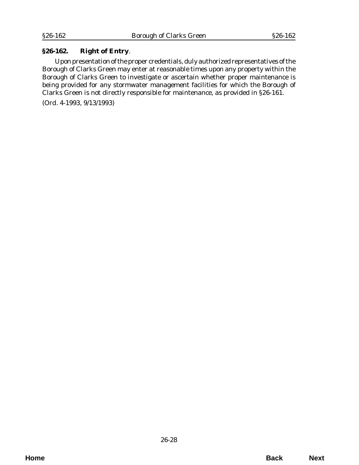# <span id="page-27-0"></span>**§26-162. Right of Entry**.

Upon presentation of the proper credentials, duly authorized representatives of the Borough of Clarks Green may enter at reasonable times upon any property within the Borough of Clarks Green to investigate or ascertain whether proper maintenance is being provided for any stormwater management facilities for which the Borough of Clarks Green is not directly responsible for maintenance, as provided in §26-161.